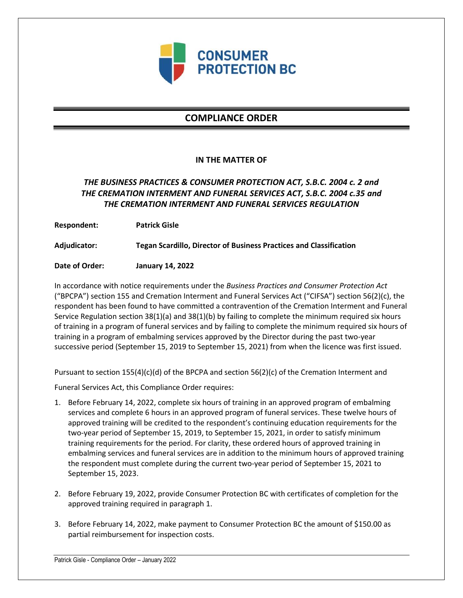

# **COMPLIANCE ORDER**

### **IN THE MATTER OF**

## *THE BUSINESS PRACTICES & CONSUMER PROTECTION ACT, S.B.C. 2004 c. 2 and THE CREMATION INTERMENT AND FUNERAL SERVICES ACT, S.B.C. 2004 c.35 and THE CREMATION INTERMENT AND FUNERAL SERVICES REGULATION*

**Respondent: Patrick Gisle**

**Adjudicator: Tegan Scardillo, Director of Business Practices and Classification**

**Date of Order: January 14, 2022**

In accordance with notice requirements under the *Business Practices and Consumer Protection Act* ("BPCPA") section 155 and Cremation Interment and Funeral Services Act ("CIFSA") section 56(2)(c), the respondent has been found to have committed a contravention of the Cremation Interment and Funeral Service Regulation section 38(1)(a) and 38(1)(b) by failing to complete the minimum required six hours of training in a program of funeral services and by failing to complete the minimum required six hours of training in a program of embalming services approved by the Director during the past two-year successive period (September 15, 2019 to September 15, 2021) from when the licence was first issued.

Pursuant to section 155(4)(c)(d) of the BPCPA and section 56(2)(c) of the Cremation Interment and

Funeral Services Act, this Compliance Order requires:

- 1. Before February 14, 2022, complete six hours of training in an approved program of embalming services and complete 6 hours in an approved program of funeral services. These twelve hours of approved training will be credited to the respondent's continuing education requirements for the two-year period of September 15, 2019, to September 15, 2021, in order to satisfy minimum training requirements for the period. For clarity, these ordered hours of approved training in embalming services and funeral services are in addition to the minimum hours of approved training the respondent must complete during the current two-year period of September 15, 2021 to September 15, 2023.
- 2. Before February 19, 2022, provide Consumer Protection BC with certificates of completion for the approved training required in paragraph 1.
- 3. Before February 14, 2022, make payment to Consumer Protection BC the amount of \$150.00 as partial reimbursement for inspection costs.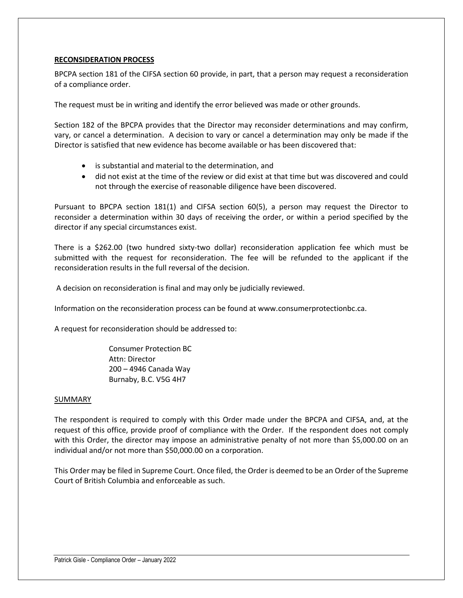### **RECONSIDERATION PROCESS**

BPCPA section 181 of the CIFSA section 60 provide, in part, that a person may request a reconsideration of a compliance order.

The request must be in writing and identify the error believed was made or other grounds.

Section 182 of the BPCPA provides that the Director may reconsider determinations and may confirm, vary, or cancel a determination. A decision to vary or cancel a determination may only be made if the Director is satisfied that new evidence has become available or has been discovered that:

- is substantial and material to the determination, and
- did not exist at the time of the review or did exist at that time but was discovered and could not through the exercise of reasonable diligence have been discovered.

Pursuant to BPCPA section 181(1) and CIFSA section 60(5), a person may request the Director to reconsider a determination within 30 days of receiving the order, or within a period specified by the director if any special circumstances exist.

There is a \$262.00 (two hundred sixty-two dollar) reconsideration application fee which must be submitted with the request for reconsideration. The fee will be refunded to the applicant if the reconsideration results in the full reversal of the decision.

A decision on reconsideration is final and may only be judicially reviewed.

Information on the reconsideration process can be found at www.consumerprotectionbc.ca.

A request for reconsideration should be addressed to:

Consumer Protection BC Attn: Director 200 – 4946 Canada Way Burnaby, B.C. V5G 4H7

#### SUMMARY

The respondent is required to comply with this Order made under the BPCPA and CIFSA, and, at the request of this office, provide proof of compliance with the Order. If the respondent does not comply with this Order, the director may impose an administrative penalty of not more than \$5,000.00 on an individual and/or not more than \$50,000.00 on a corporation.

This Order may be filed in Supreme Court. Once filed, the Order is deemed to be an Order of the Supreme Court of British Columbia and enforceable as such.